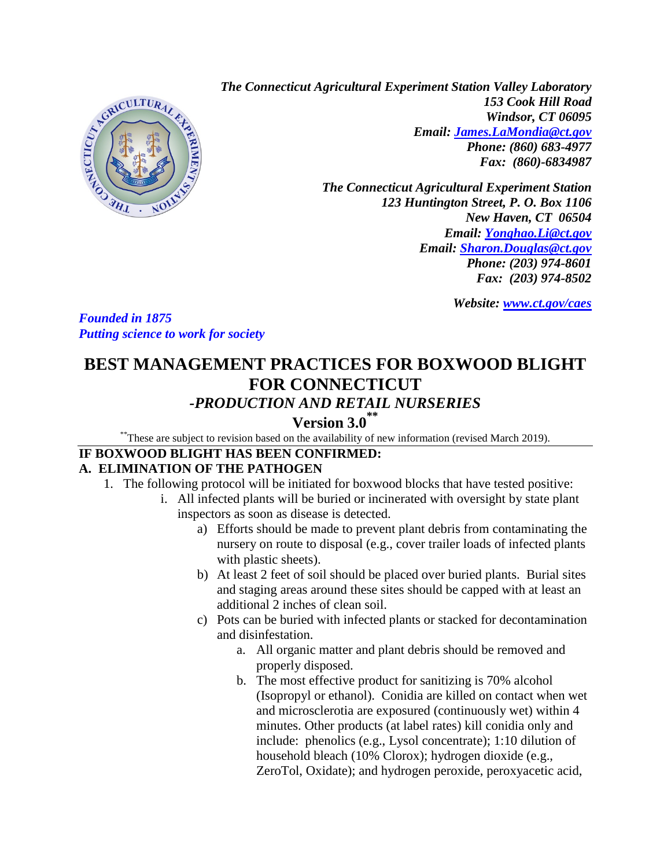

*The Connecticut Agricultural Experiment Station Valley Laboratory 153 Cook Hill Road Windsor, CT 06095 Email: [James.LaMondia@ct.gov](mailto:James.LaMondia@ct.gov) Phone: (860) 683-4977 Fax: (860)-6834987*

> *The Connecticut Agricultural Experiment Station 123 Huntington Street, P. O. Box 1106 New Haven, CT 06504 Email: [Yonghao.Li@ct.gov](mailto:Yonghao.Li@ct.gov) Email: [Sharon.Douglas@ct.gov](mailto:Sharon.Douglas@ct.gov) Phone: (203) 974-8601 Fax: (203) 974-8502*

> > *Website: [www.ct.gov/caes](http://www.ct.gov/caes)*

*Founded in 1875 Putting science to work for society* 

# **BEST MANAGEMENT PRACTICES FOR BOXWOOD BLIGHT FOR CONNECTICUT** *-PRODUCTION AND RETAIL NURSERIES*

# **Version 3.0 \*\***

\*\*These are subject to revision based on the availability of new information (revised March 2019).

#### **IF BOXWOOD BLIGHT HAS BEEN CONFIRMED: A. ELIMINATION OF THE PATHOGEN**

- 1. The following protocol will be initiated for boxwood blocks that have tested positive:
	- i. All infected plants will be buried or incinerated with oversight by state plant inspectors as soon as disease is detected.
		- a) Efforts should be made to prevent plant debris from contaminating the nursery on route to disposal (e.g., cover trailer loads of infected plants with plastic sheets).
		- b) At least 2 feet of soil should be placed over buried plants. Burial sites and staging areas around these sites should be capped with at least an additional 2 inches of clean soil.
		- c) Pots can be buried with infected plants or stacked for decontamination and disinfestation.
			- a. All organic matter and plant debris should be removed and properly disposed.
			- b. The most effective product for sanitizing is 70% alcohol (Isopropyl or ethanol). Conidia are killed on contact when wet and microsclerotia are exposured (continuously wet) within 4 minutes. Other products (at label rates) kill conidia only and include: phenolics (e.g., Lysol concentrate); 1:10 dilution of household bleach (10% Clorox); hydrogen dioxide (e.g., ZeroTol, Oxidate); and hydrogen peroxide, peroxyacetic acid,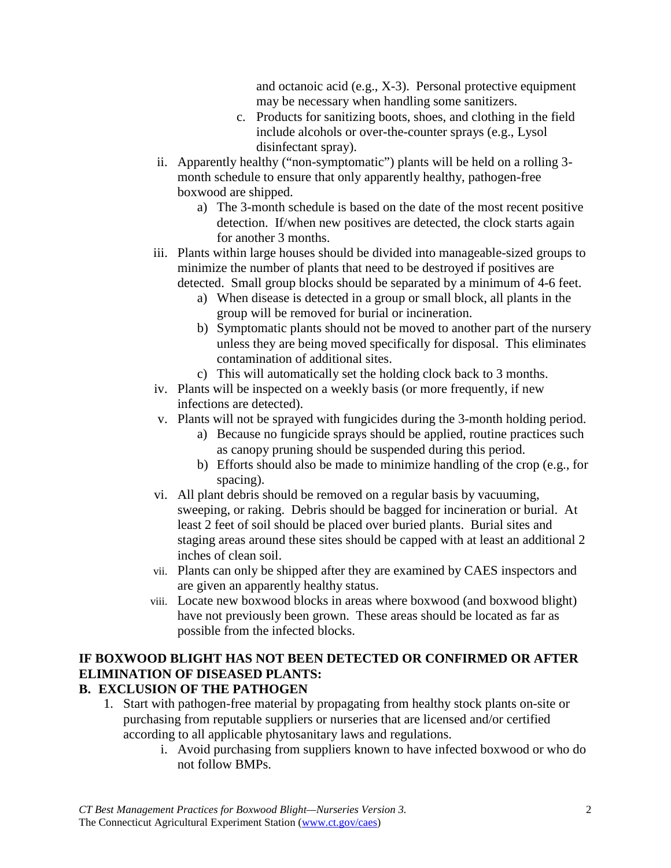and octanoic acid (e.g., X-3). Personal protective equipment may be necessary when handling some sanitizers.

- c. Products for sanitizing boots, shoes, and clothing in the field include alcohols or over-the-counter sprays (e.g., Lysol disinfectant spray).
- ii. Apparently healthy ("non-symptomatic") plants will be held on a rolling 3 month schedule to ensure that only apparently healthy, pathogen-free boxwood are shipped.
	- a) The 3-month schedule is based on the date of the most recent positive detection. If/when new positives are detected, the clock starts again for another 3 months.
- iii. Plants within large houses should be divided into manageable-sized groups to minimize the number of plants that need to be destroyed if positives are detected. Small group blocks should be separated by a minimum of 4-6 feet.
	- a) When disease is detected in a group or small block, all plants in the group will be removed for burial or incineration.
	- b) Symptomatic plants should not be moved to another part of the nursery unless they are being moved specifically for disposal. This eliminates contamination of additional sites.
	- c) This will automatically set the holding clock back to 3 months.
- iv. Plants will be inspected on a weekly basis (or more frequently, if new infections are detected).
- v. Plants will not be sprayed with fungicides during the 3-month holding period.
	- a) Because no fungicide sprays should be applied, routine practices such as canopy pruning should be suspended during this period.
	- b) Efforts should also be made to minimize handling of the crop (e.g., for spacing).
- vi. All plant debris should be removed on a regular basis by vacuuming, sweeping, or raking. Debris should be bagged for incineration or burial. At least 2 feet of soil should be placed over buried plants. Burial sites and staging areas around these sites should be capped with at least an additional 2 inches of clean soil.
- vii. Plants can only be shipped after they are examined by CAES inspectors and are given an apparently healthy status.
- viii. Locate new boxwood blocks in areas where boxwood (and boxwood blight) have not previously been grown. These areas should be located as far as possible from the infected blocks.

# **IF BOXWOOD BLIGHT HAS NOT BEEN DETECTED OR CONFIRMED OR AFTER ELIMINATION OF DISEASED PLANTS:**

# **B. EXCLUSION OF THE PATHOGEN**

- 1. Start with pathogen-free material by propagating from healthy stock plants on-site or purchasing from reputable suppliers or nurseries that are licensed and/or certified according to all applicable phytosanitary laws and regulations.
	- i. Avoid purchasing from suppliers known to have infected boxwood or who do not follow BMPs.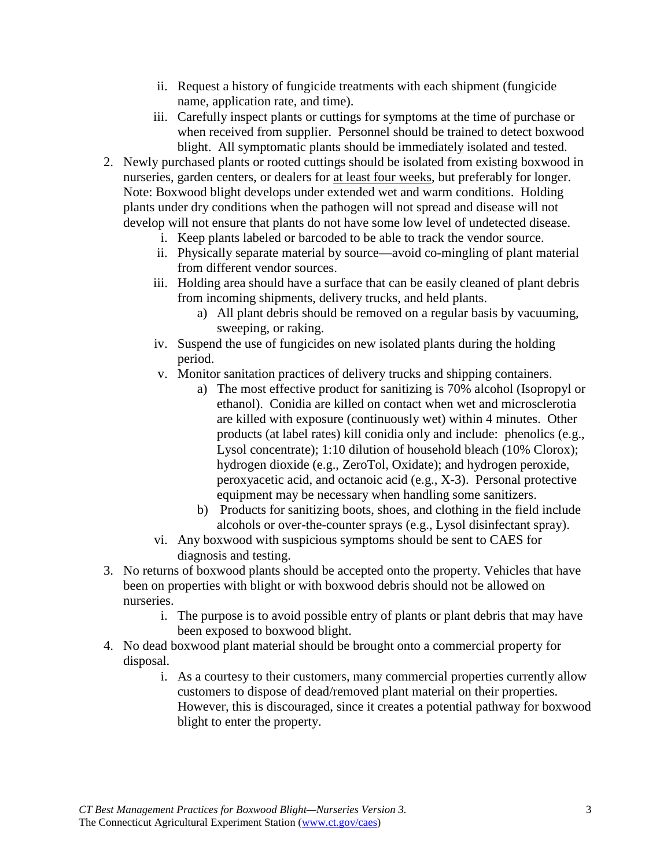- ii. Request a history of fungicide treatments with each shipment (fungicide name, application rate, and time).
- iii. Carefully inspect plants or cuttings for symptoms at the time of purchase or when received from supplier. Personnel should be trained to detect boxwood blight. All symptomatic plants should be immediately isolated and tested.
- 2. Newly purchased plants or rooted cuttings should be isolated from existing boxwood in nurseries, garden centers, or dealers for at least four weeks, but preferably for longer. Note: Boxwood blight develops under extended wet and warm conditions. Holding plants under dry conditions when the pathogen will not spread and disease will not develop will not ensure that plants do not have some low level of undetected disease.
	- i. Keep plants labeled or barcoded to be able to track the vendor source.
	- ii. Physically separate material by source—avoid co-mingling of plant material from different vendor sources.
	- iii. Holding area should have a surface that can be easily cleaned of plant debris from incoming shipments, delivery trucks, and held plants.
		- a) All plant debris should be removed on a regular basis by vacuuming, sweeping, or raking.
	- iv. Suspend the use of fungicides on new isolated plants during the holding period.
	- v. Monitor sanitation practices of delivery trucks and shipping containers.
		- a) The most effective product for sanitizing is 70% alcohol (Isopropyl or ethanol). Conidia are killed on contact when wet and microsclerotia are killed with exposure (continuously wet) within 4 minutes. Other products (at label rates) kill conidia only and include: phenolics (e.g., Lysol concentrate); 1:10 dilution of household bleach (10% Clorox); hydrogen dioxide (e.g., ZeroTol, Oxidate); and hydrogen peroxide, peroxyacetic acid, and octanoic acid (e.g., X-3). Personal protective equipment may be necessary when handling some sanitizers.
		- b) Products for sanitizing boots, shoes, and clothing in the field include alcohols or over-the-counter sprays (e.g., Lysol disinfectant spray).
	- vi. Any boxwood with suspicious symptoms should be sent to CAES for diagnosis and testing.
- 3. No returns of boxwood plants should be accepted onto the property. Vehicles that have been on properties with blight or with boxwood debris should not be allowed on nurseries.
	- i. The purpose is to avoid possible entry of plants or plant debris that may have been exposed to boxwood blight.
- 4. No dead boxwood plant material should be brought onto a commercial property for disposal.
	- i. As a courtesy to their customers, many commercial properties currently allow customers to dispose of dead/removed plant material on their properties. However, this is discouraged, since it creates a potential pathway for boxwood blight to enter the property.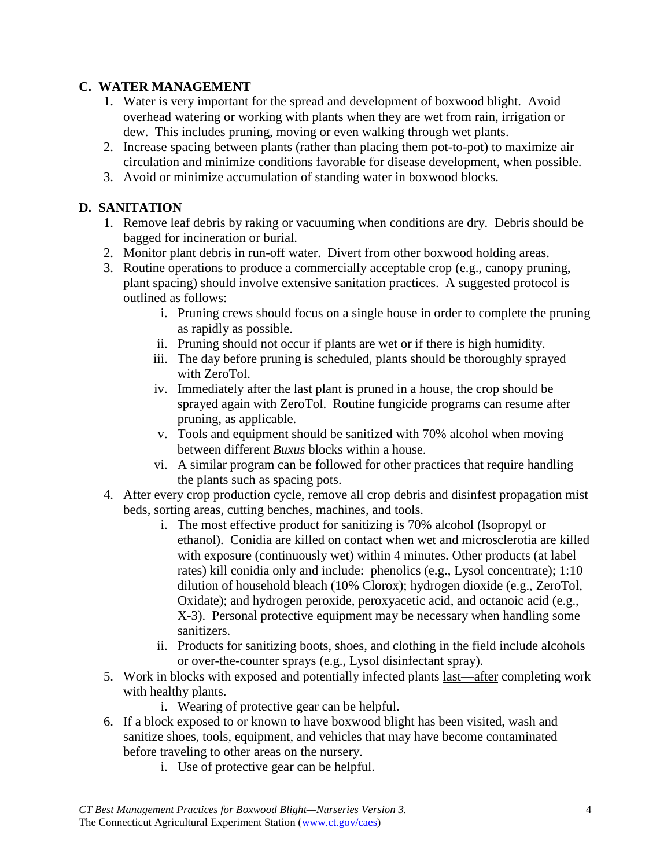#### **C. WATER MANAGEMENT**

- 1. Water is very important for the spread and development of boxwood blight. Avoid overhead watering or working with plants when they are wet from rain, irrigation or dew. This includes pruning, moving or even walking through wet plants.
- 2. Increase spacing between plants (rather than placing them pot-to-pot) to maximize air circulation and minimize conditions favorable for disease development, when possible.
- 3. Avoid or minimize accumulation of standing water in boxwood blocks.

#### **D. SANITATION**

- 1. Remove leaf debris by raking or vacuuming when conditions are dry. Debris should be bagged for incineration or burial.
- 2. Monitor plant debris in run-off water. Divert from other boxwood holding areas.
- 3. Routine operations to produce a commercially acceptable crop (e.g., canopy pruning, plant spacing) should involve extensive sanitation practices. A suggested protocol is outlined as follows:
	- i. Pruning crews should focus on a single house in order to complete the pruning as rapidly as possible.
	- ii. Pruning should not occur if plants are wet or if there is high humidity.
	- iii. The day before pruning is scheduled, plants should be thoroughly sprayed with ZeroTol.
	- iv. Immediately after the last plant is pruned in a house, the crop should be sprayed again with ZeroTol. Routine fungicide programs can resume after pruning, as applicable.
	- v. Tools and equipment should be sanitized with 70% alcohol when moving between different *Buxus* blocks within a house.
	- vi. A similar program can be followed for other practices that require handling the plants such as spacing pots.
- 4. After every crop production cycle, remove all crop debris and disinfest propagation mist beds, sorting areas, cutting benches, machines, and tools.
	- i. The most effective product for sanitizing is 70% alcohol (Isopropyl or ethanol). Conidia are killed on contact when wet and microsclerotia are killed with exposure (continuously wet) within 4 minutes. Other products (at label rates) kill conidia only and include: phenolics (e.g., Lysol concentrate); 1:10 dilution of household bleach (10% Clorox); hydrogen dioxide (e.g., ZeroTol, Oxidate); and hydrogen peroxide, peroxyacetic acid, and octanoic acid (e.g., X-3). Personal protective equipment may be necessary when handling some sanitizers.
	- ii. Products for sanitizing boots, shoes, and clothing in the field include alcohols or over-the-counter sprays (e.g., Lysol disinfectant spray).
- 5. Work in blocks with exposed and potentially infected plants last—after completing work with healthy plants.
	- i. Wearing of protective gear can be helpful.
- 6. If a block exposed to or known to have boxwood blight has been visited, wash and sanitize shoes, tools, equipment, and vehicles that may have become contaminated before traveling to other areas on the nursery.
	- i. Use of protective gear can be helpful.